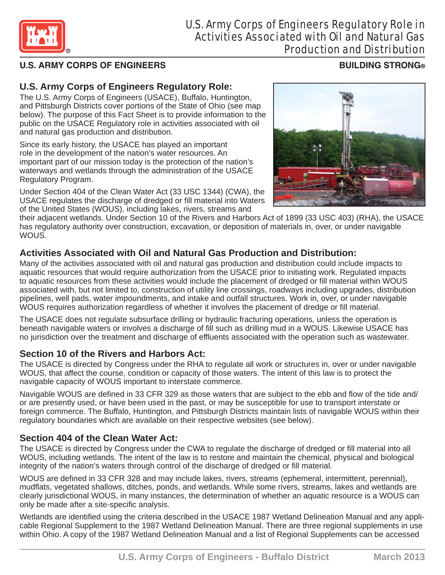

## U.S. Army Corps of Engineers Regulatory Role in Activities Associated with Oil and Natural Gas Production and Distribution

## **U.S. ARMY CORPS OF ENGINEERS BUILDING STRONG®**

## **U.S. Army Corps of Engineers Regulatory Role:**

The U.S. Army Corps of Engineers (USACE), Buffalo, Huntington, and Pittsburgh Districts cover portions of the State of Ohio (see map below). The purpose of this Fact Sheet is to provide information to the public on the USACE Regulatory role in activities associated with oil and natural gas production and distribution.

Since its early history, the USACE has played an important role in the development of the nation's water resources. An important part of our mission today is the protection of the nation's waterways and wetlands through the administration of the USACE Regulatory Program.

Under Section 404 of the Clean Water Act (33 USC 1344) (CWA), the USACE regulates the discharge of dredged or fill material into Waters of the United States (WOUS), including lakes, rivers, streams and



their adjacent wetlands. Under Section 10 of the Rivers and Harbors Act of 1899 (33 USC 403) (RHA), the USACE has regulatory authority over construction, excavation, or deposition of materials in, over, or under navigable WOUS.

## **Activities Associated with Oil and Natural Gas Production and Distribution:**

Many of the activities associated with oil and natural gas production and distribution could include impacts to aquatic resources that would require authorization from the USACE prior to initiating work. Regulated impacts to aquatic resources from these activities would include the placement of dredged or fill material within WOUS associated with, but not limited to, construction of utility line crossings, roadways including upgrades, distribution pipelines, well pads, water impoundments, and intake and outfall structures. Work in, over, or under navigable WOUS requires authorization regardless of whether it involves the placement of dredge or fill material.

The USACE does not regulate subsurface drilling or hydraulic fracturing operations, unless the operation is beneath navigable waters or involves a discharge of fill such as drilling mud in a WOUS. Likewise USACE has no jurisdiction over the treatment and discharge of effluents associated with the operation such as wastewater.

## **Section 10 of the Rivers and Harbors Act:**

The USACE is directed by Congress under the RHA to regulate all work or structures in, over or under navigable WOUS, that affect the course, condition or capacity of those waters. The intent of this law is to protect the navigable capacity of WOUS important to interstate commerce.

Navigable WOUS are defined in 33 CFR 329 as those waters that are subject to the ebb and flow of the tide and/ or are presently used, or have been used in the past, or may be susceptible for use to transport interstate or foreign commerce. The Buffalo, Huntington, and Pittsburgh Districts maintain lists of navigable WOUS within their regulatory boundaries which are available on their respective websites (see below).

## **Section 404 of the Clean Water Act:**

The USACE is directed by Congress under the CWA to regulate the discharge of dredged or fill material into all WOUS, including wetlands. The intent of the law is to restore and maintain the chemical, physical and biological integrity of the nation's waters through control of the discharge of dredged or fill material.

WOUS are defined in 33 CFR 328 and may include lakes, rivers, streams (ephemeral, intermittent, perennial), mudflats, vegetated shallows, ditches, ponds, and wetlands. While some rivers, streams, lakes and wetlands are clearly jurisdictional WOUS, in many instances, the determination of whether an aquatic resource is a WOUS can only be made after a site-specific analysis.

Wetlands are identified using the criteria described in the USACE 1987 Wetland Delineation Manual and any applicable Regional Supplement to the 1987 Wetland Delineation Manual. There are three regional supplements in use within Ohio. A copy of the 1987 Wetland Delineation Manual and a list of Regional Supplements can be accessed